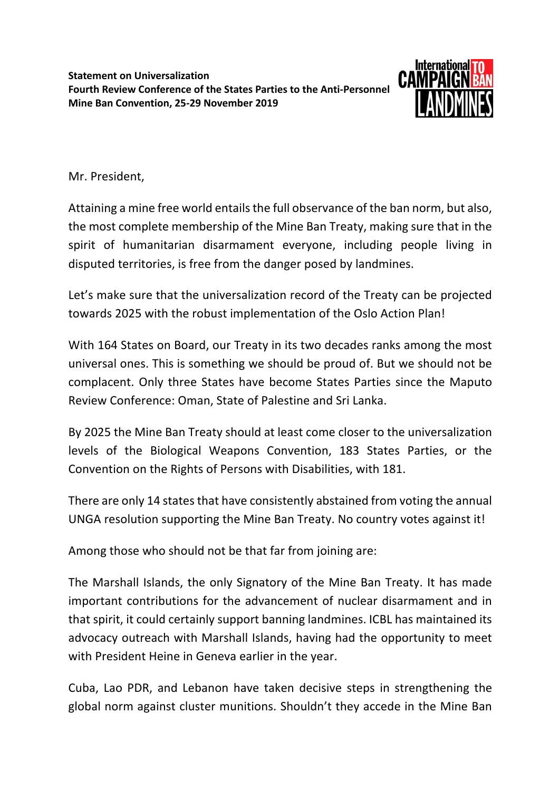

Mr. President,

Attaining a mine free world entails the full observance of the ban norm, but also, the most complete membership of the Mine Ban Treaty, making sure that in the spirit of humanitarian disarmament everyone, including people living in disputed territories, is free from the danger posed by landmines.

Let's make sure that the universalization record of the Treaty can be projected towards 2025 with the robust implementation of the Oslo Action Plan!

With 164 States on Board, our Treaty in its two decades ranks among the most universal ones. This is something we should be proud of. But we should not be complacent. Only three States have become States Parties since the Maputo Review Conference: Oman, State of Palestine and Sri Lanka.

By 2025 the Mine Ban Treaty should at least come closer to the universalization levels of the Biological Weapons Convention, 183 States Parties, or the Convention on the Rights of Persons with Disabilities, with 181.

There are only 14 states that have consistently abstained from voting the annual UNGA resolution supporting the Mine Ban Treaty. No country votes against it!

Among those who should not be that far from joining are:

The Marshall Islands, the only Signatory of the Mine Ban Treaty. It has made important contributions for the advancement of nuclear disarmament and in that spirit, it could certainly support banning landmines. ICBL has maintained its advocacy outreach with Marshall Islands, having had the opportunity to meet with President Heine in Geneva earlier in the year.

Cuba, Lao PDR, and Lebanon have taken decisive steps in strengthening the global norm against cluster munitions. Shouldn't they accede in the Mine Ban